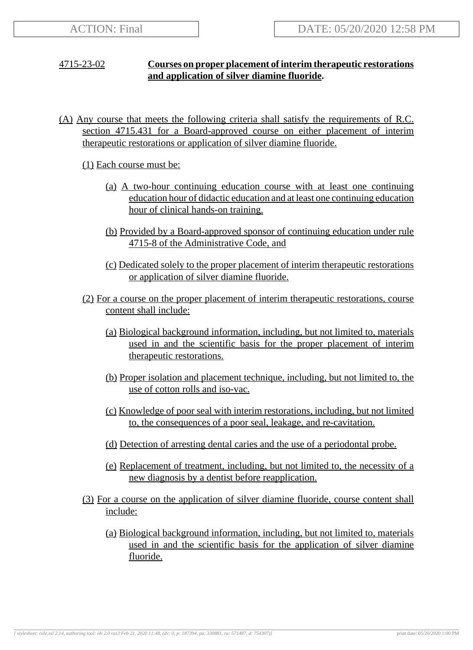## 4715-23-02 **Courses on proper placement of interim therapeutic restorations and application of silver diamine fluoride.**

(A) Any course that meets the following criteria shall satisfy the requirements of R.C. section 4715.431 for a Board-approved course on either placement of interim therapeutic restorations or application of silver diamine fluoride.

(1) Each course must be:

- (a) A two-hour continuing education course with at least one continuing education hour of didactic education and at least one continuing education hour of clinical hands-on training.
- (b) Provided by a Board-approved sponsor of continuing education under rule 4715-8 of the Administrative Code, and
- (c) Dedicated solely to the proper placement of interim therapeutic restorations or application of silver diamine fluoride.
- (2) For a course on the proper placement of interim therapeutic restorations, course content shall include:
	- (a) Biological background information, including, but not limited to, materials used in and the scientific basis for the proper placement of interim therapeutic restorations.
	- (b) Proper isolation and placement technique, including, but not limited to, the use of cotton rolls and iso-vac.
	- (c) Knowledge of poor seal with interim restorations, including, but not limited to, the consequences of a poor seal, leakage, and re-cavitation.
	- (d) Detection of arresting dental caries and the use of a periodontal probe.
	- (e) Replacement of treatment, including, but not limited to, the necessity of a new diagnosis by a dentist before reapplication.
- (3) For a course on the application of silver diamine fluoride, course content shall include:
	- (a) Biological background information, including, but not limited to, materials used in and the scientific basis for the application of silver diamine fluoride.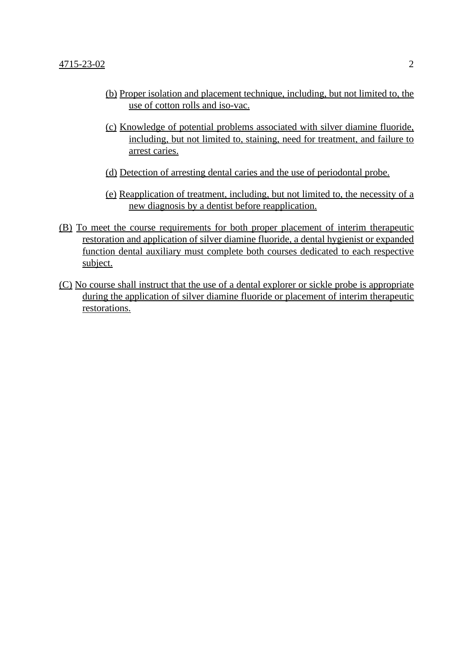- (b) Proper isolation and placement technique, including, but not limited to, the use of cotton rolls and iso-vac.
- (c) Knowledge of potential problems associated with silver diamine fluoride, including, but not limited to, staining, need for treatment, and failure to arrest caries.
- (d) Detection of arresting dental caries and the use of periodontal probe.
- (e) Reapplication of treatment, including, but not limited to, the necessity of a new diagnosis by a dentist before reapplication.
- (B) To meet the course requirements for both proper placement of interim therapeutic restoration and application of silver diamine fluoride, a dental hygienist or expanded function dental auxiliary must complete both courses dedicated to each respective subject.
- (C) No course shall instruct that the use of a dental explorer or sickle probe is appropriate during the application of silver diamine fluoride or placement of interim therapeutic restorations.